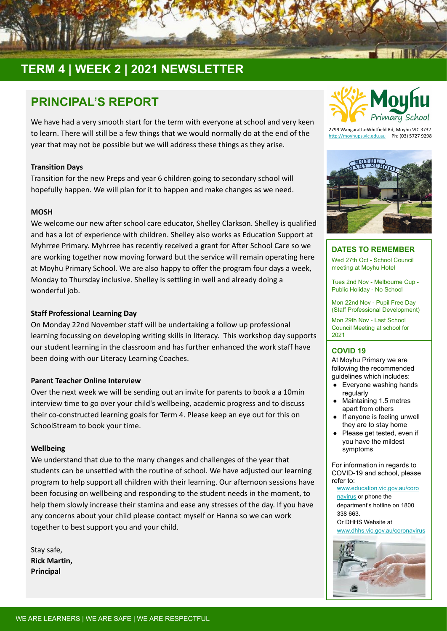

# **TERM 4 | WEEK 2 | 2021 NEWSLETTER**

## **PRINCIPAL'S REPORT**

We have had a very smooth start for the term with everyone at school and very keen to learn. There will still be a few things that we would normally do at the end of the year that may not be possible but we will address these things as they arise.

### **Transition Days**

Transition for the new Preps and year 6 children going to secondary school will hopefully happen. We will plan for it to happen and make changes as we need.

### **MOSH**

We welcome our new after school care educator, Shelley Clarkson. Shelley is qualified and has a lot of experience with children. Shelley also works as Education Support at Myhrree Primary. Myhrree has recently received a grant for After School Care so we are working together now moving forward but the service will remain operating here at Moyhu Primary School. We are also happy to offer the program four days a week, Monday to Thursday inclusive. Shelley is settling in well and already doing a wonderful job.

### **Staff Professional Learning Day**

On Monday 22nd November staff will be undertaking a follow up professional learning focussing on developing writing skills in literacy. This workshop day supports our student learning in the classroom and has further enhanced the work staff have been doing with our Literacy Learning Coaches.

### **Parent Teacher Online Interview**

Over the next week we will be sending out an invite for parents to book a a 10min interview time to go over your child's wellbeing, academic progress and to discuss their co-constructed learning goals for Term 4. Please keep an eye out for this on SchoolStream to book your time.

### **Wellbeing**

We understand that due to the many changes and challenges of the year that students can be unsettled with the routine of school. We have adjusted our learning program to help support all children with their learning. Our afternoon sessions have been focusing on wellbeing and responding to the student needs in the moment, to help them slowly increase their stamina and ease any stresses of the day. If you have any concerns about your child please contact myself or Hanna so we can work together to best support you and your child.

Stay safe, **Rick Martin, Principal**



2799 Wangaratta-Whitfield Rd, Moyhu VIC 3732 <http://moyhups.vic.edu.au>Ph: (03) 5727 9298



### **DATES TO REMEMBER**

Wed 27th Oct - School Council meeting at Moyhu Hotel

Tues 2nd Nov - Melbourne Cup - Public Holiday - No School

Mon 22nd Nov - Pupil Free Day (Staff Professional Development)

Mon 29th Nov - Last School Council Meeting at school for 2021

### **COVID 19**

At Moyhu Primary we are following the recommended guidelines which includes:

- Everyone washing hands regularly
- Maintaining 1.5 metres apart from others
- If anyone is feeling unwell they are to stay home
- Please get tested, even if you have the mildest symptoms

For information in regards to COVID-19 and school, please refer to:

[www.education.vic.gov.au/coro](http://www.education.vic.gov.au/coronavirus) [navirus](http://www.education.vic.gov.au/coronavirus) or phone the department's hotline on 1800 338 663. Or DHHS Website a[t](http://www.dhhs.vic.gov.au/coronavirus)

[www.dhhs.vic.gov.au/coronavirus](http://www.dhhs.vic.gov.au/coronavirus)